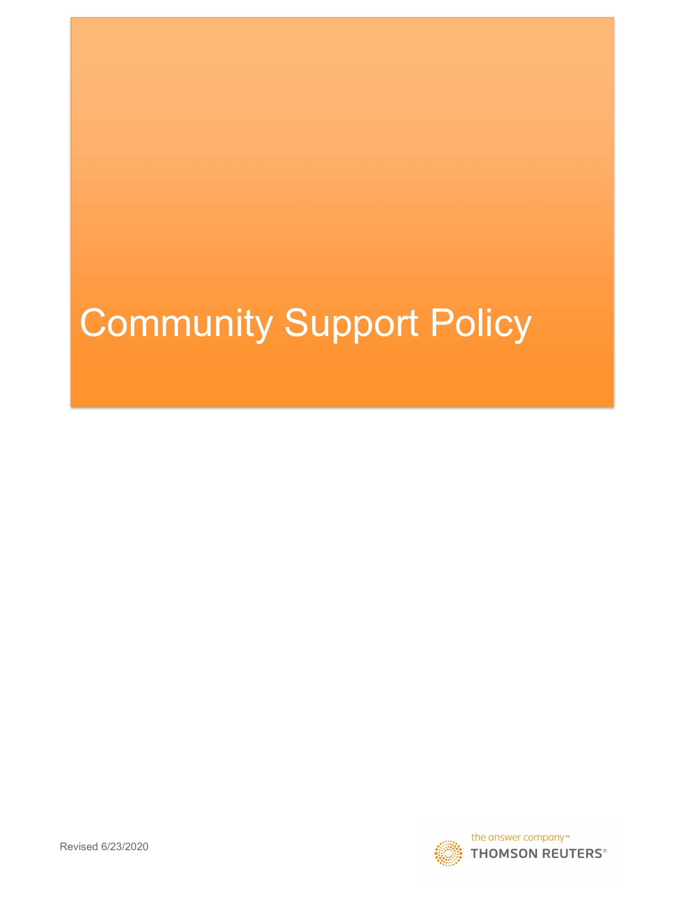# Community Support Policy

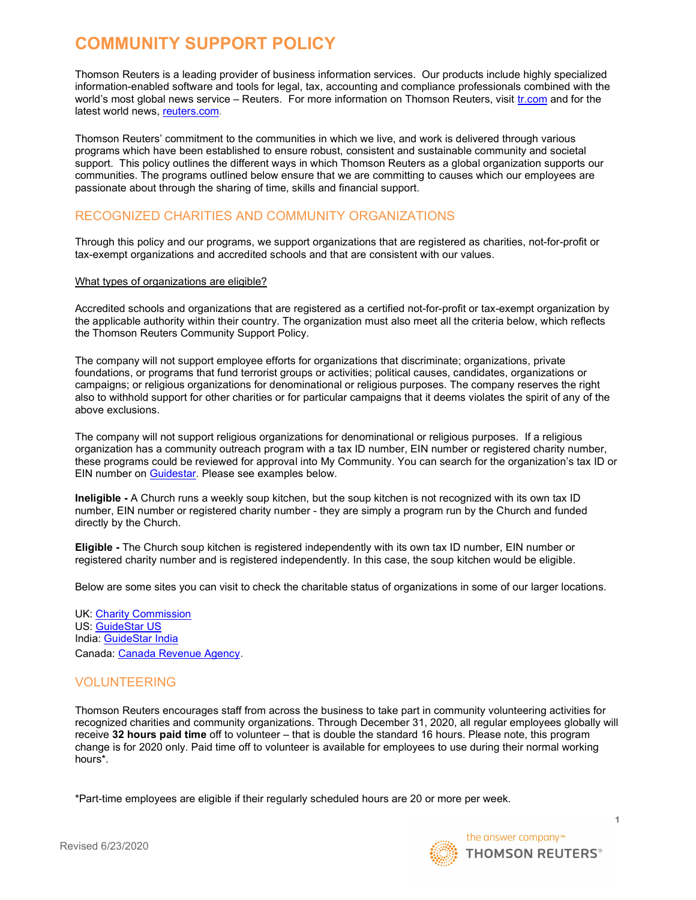# COMMUNITY SUPPORT POLICY

Thomson Reuters is a leading provider of business information services. Our products include highly specialized information-enabled software and tools for legal, tax, accounting and compliance professionals combined with the world's most global news service – Reuters. For more information on Thomson Reuters, visit tr.com and for the latest world news, reuters.com.

Thomson Reuters' commitment to the communities in which we live, and work is delivered through various programs which have been established to ensure robust, consistent and sustainable community and societal support. This policy outlines the different ways in which Thomson Reuters as a global organization supports our communities. The programs outlined below ensure that we are committing to causes which our employees are passionate about through the sharing of time, skills and financial support.

# RECOGNIZED CHARITIES AND COMMUNITY ORGANIZATIONS

Through this policy and our programs, we support organizations that are registered as charities, not-for-profit or tax-exempt organizations and accredited schools and that are consistent with our values.

#### What types of organizations are eligible?

Accredited schools and organizations that are registered as a certified not-for-profit or tax-exempt organization by the applicable authority within their country. The organization must also meet all the criteria below, which reflects the Thomson Reuters Community Support Policy.

The company will not support employee efforts for organizations that discriminate; organizations, private foundations, or programs that fund terrorist groups or activities; political causes, candidates, organizations or campaigns; or religious organizations for denominational or religious purposes. The company reserves the right also to withhold support for other charities or for particular campaigns that it deems violates the spirit of any of the above exclusions.

The company will not support religious organizations for denominational or religious purposes. If a religious organization has a community outreach program with a tax ID number, EIN number or registered charity number, these programs could be reviewed for approval into My Community. You can search for the organization's tax ID or EIN number on Guidestar. Please see examples below.

Ineligible - A Church runs a weekly soup kitchen, but the soup kitchen is not recognized with its own tax ID number, EIN number or registered charity number - they are simply a program run by the Church and funded directly by the Church.

Eligible - The Church soup kitchen is registered independently with its own tax ID number, EIN number or registered charity number and is registered independently. In this case, the soup kitchen would be eligible.

Below are some sites you can visit to check the charitable status of organizations in some of our larger locations.

UK: Charity Commission US: GuideStar US India: GuideStar India Canada: Canada Revenue Agency.

# VOLUNTEERING

Thomson Reuters encourages staff from across the business to take part in community volunteering activities for recognized charities and community organizations. Through December 31, 2020, all regular employees globally will receive 32 hours paid time off to volunteer – that is double the standard 16 hours. Please note, this program change is for 2020 only. Paid time off to volunteer is available for employees to use during their normal working hours\*.

\*Part-time employees are eligible if their regularly scheduled hours are 20 or more per week.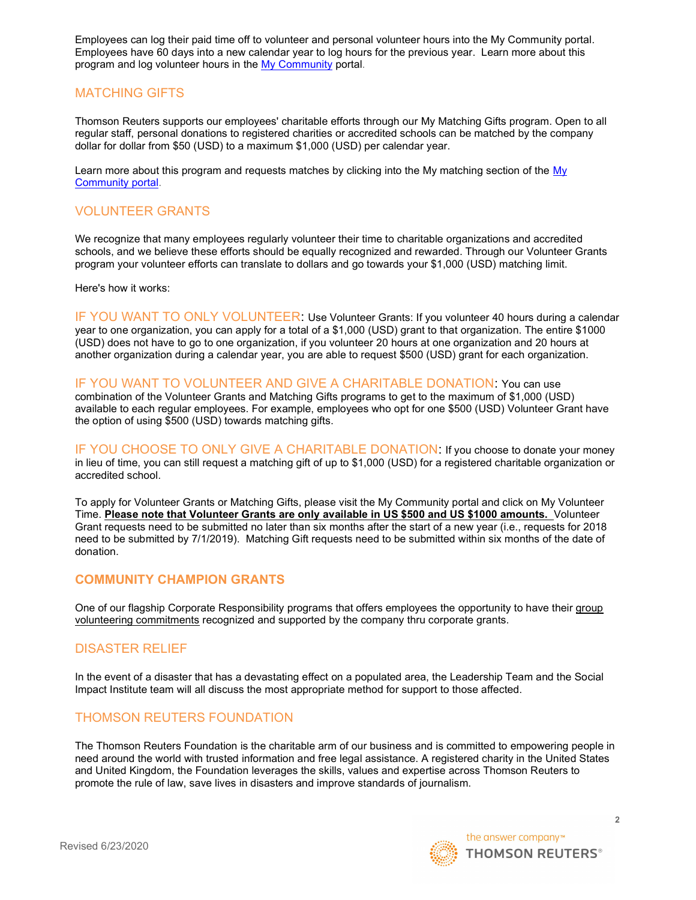Employees can log their paid time off to volunteer and personal volunteer hours into the My Community portal. Employees have 60 days into a new calendar year to log hours for the previous year. Learn more about this program and log volunteer hours in the My Community portal.

## MATCHING GIFTS

Thomson Reuters supports our employees' charitable efforts through our My Matching Gifts program. Open to all regular staff, personal donations to registered charities or accredited schools can be matched by the company dollar for dollar from \$50 (USD) to a maximum \$1,000 (USD) per calendar year.

Learn more about this program and requests matches by clicking into the My matching section of the My Community portal.

#### VOLUNTEER GRANTS

We recognize that many employees regularly volunteer their time to charitable organizations and accredited schools, and we believe these efforts should be equally recognized and rewarded. Through our Volunteer Grants program your volunteer efforts can translate to dollars and go towards your \$1,000 (USD) matching limit.

Here's how it works:

IF YOU WANT TO ONLY VOLUNTEER: Use Volunteer Grants: If you volunteer 40 hours during a calendar year to one organization, you can apply for a total of a \$1,000 (USD) grant to that organization. The entire \$1000 (USD) does not have to go to one organization, if you volunteer 20 hours at one organization and 20 hours at another organization during a calendar year, you are able to request \$500 (USD) grant for each organization.

IF YOU WANT TO VOLUNTEER AND GIVE A CHARITABLE DONATION: You can use

combination of the Volunteer Grants and Matching Gifts programs to get to the maximum of \$1,000 (USD) available to each regular employees. For example, employees who opt for one \$500 (USD) Volunteer Grant have the option of using \$500 (USD) towards matching gifts.

IF YOU CHOOSE TO ONLY GIVE A CHARITABLE DONATION: If you choose to donate your money in lieu of time, you can still request a matching gift of up to \$1,000 (USD) for a registered charitable organization or accredited school.

To apply for Volunteer Grants or Matching Gifts, please visit the My Community portal and click on My Volunteer Time. Please note that Volunteer Grants are only available in US \$500 and US \$1000 amounts. Volunteer Grant requests need to be submitted no later than six months after the start of a new year (i.e., requests for 2018 need to be submitted by 7/1/2019). Matching Gift requests need to be submitted within six months of the date of donation.

#### COMMUNITY CHAMPION GRANTS

One of our flagship Corporate Responsibility programs that offers employees the opportunity to have their group volunteering commitments recognized and supported by the company thru corporate grants.

#### DISASTER RELIEF

In the event of a disaster that has a devastating effect on a populated area, the Leadership Team and the Social Impact Institute team will all discuss the most appropriate method for support to those affected.

#### THOMSON REUTERS FOUNDATION

The Thomson Reuters Foundation is the charitable arm of our business and is committed to empowering people in need around the world with trusted information and free legal assistance. A registered charity in the United States and United Kingdom, the Foundation leverages the skills, values and expertise across Thomson Reuters to promote the rule of law, save lives in disasters and improve standards of journalism.